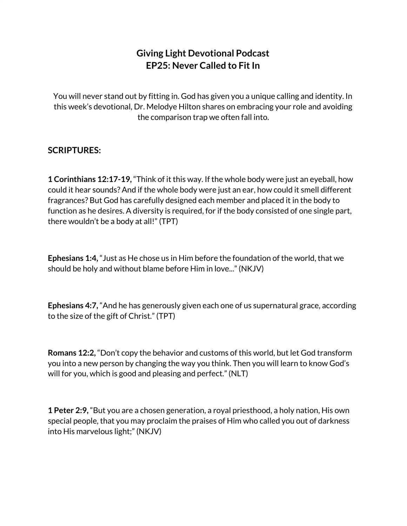## **Giving Light Devotional Podcast EP25: Never Called to Fit In**

You will never stand out by fitting in. God has given you a unique calling and identity. In this week's devotional, Dr. Melodye Hilton shares on embracing your role and avoiding the comparison trap we often fall into.

## **SCRIPTURES:**

**1 Corinthians 12:17-19,** "Think of it this way. If the whole body were just an eyeball, how could it hear sounds? And if the whole body were just an ear, how could it smell different fragrances? But God has carefully designed each member and placed it in the body to function as he desires. A diversity is required, for if the body consisted of one single part, there wouldn't be a body at all!" (TPT)

**Ephesians 1:4,** "Just as He chose us in Him before the foundation of the world, that we should be holy and without blame before Him in love..." (NKJV)

**Ephesians 4:7,** "And he has generously given each one of us supernatural grace, according to the size of the gift of Christ." (TPT)

**Romans 12:2,** "Don't copy the behavior and customs of this world, but let God transform you into a new person by changing the way you think. Then you will learn to know God's will for you, which is good and pleasing and perfect." (NLT)

**1 Peter 2:9,** "But you are a chosen generation, a royal priesthood, a holy nation, His own special people, that you may proclaim the praises of Him who called you out of darkness into His marvelous light;" (NKJV)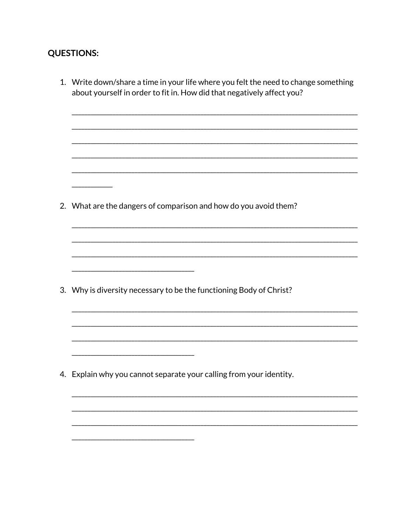## **QUESTIONS:**

| 1. Write down/share a time in your life where you felt the need to change something<br>about yourself in order to fit in. How did that negatively affect you? |
|---------------------------------------------------------------------------------------------------------------------------------------------------------------|
|                                                                                                                                                               |
| 2. What are the dangers of comparison and how do you avoid them?                                                                                              |
|                                                                                                                                                               |
| 3. Why is diversity necessary to be the functioning Body of Christ?                                                                                           |
|                                                                                                                                                               |
| 4. Explain why you cannot separate your calling from your identity.                                                                                           |
|                                                                                                                                                               |